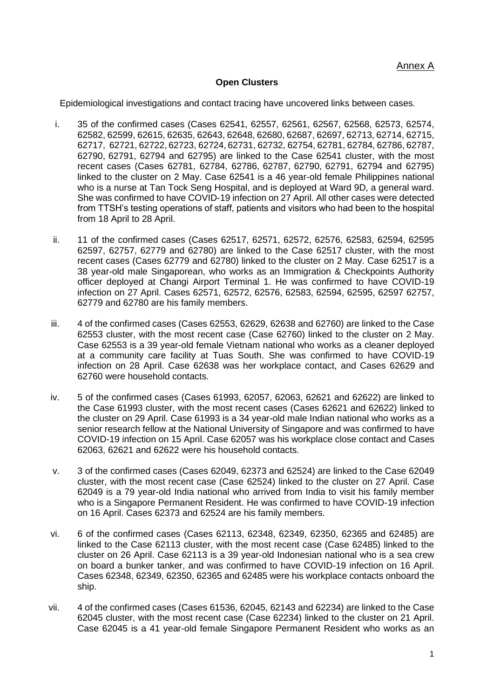#### **Open Clusters**

Epidemiological investigations and contact tracing have uncovered links between cases.

- i. 35 of the confirmed cases (Cases 62541, 62557, 62561, 62567, 62568, 62573, 62574, 62582, 62599, 62615, 62635, 62643, 62648, 62680, 62687, 62697, 62713, 62714, 62715, 62717, 62721, 62722, 62723, 62724, 62731, 62732, 62754, 62781, 62784, 62786, 62787, 62790, 62791, 62794 and 62795) are linked to the Case 62541 cluster, with the most recent cases (Cases 62781, 62784, 62786, 62787, 62790, 62791, 62794 and 62795) linked to the cluster on 2 May. Case 62541 is a 46 year-old female Philippines national who is a nurse at Tan Tock Seng Hospital, and is deployed at Ward 9D, a general ward. She was confirmed to have COVID-19 infection on 27 April. All other cases were detected from TTSH's testing operations of staff, patients and visitors who had been to the hospital from 18 April to 28 April.
- ii. 11 of the confirmed cases (Cases 62517, 62571, 62572, 62576, 62583, 62594, 62595 62597, 62757, 62779 and 62780) are linked to the Case 62517 cluster, with the most recent cases (Cases 62779 and 62780) linked to the cluster on 2 May. Case 62517 is a 38 year-old male Singaporean, who works as an Immigration & Checkpoints Authority officer deployed at Changi Airport Terminal 1. He was confirmed to have COVID-19 infection on 27 April. Cases 62571, 62572, 62576, 62583, 62594, 62595, 62597 62757, 62779 and 62780 are his family members.
- iii. 4 of the confirmed cases (Cases 62553, 62629, 62638 and 62760) are linked to the Case 62553 cluster, with the most recent case (Case 62760) linked to the cluster on 2 May. Case 62553 is a 39 year-old female Vietnam national who works as a cleaner deployed at a community care facility at Tuas South. She was confirmed to have COVID-19 infection on 28 April. Case 62638 was her workplace contact, and Cases 62629 and 62760 were household contacts.
- iv. 5 of the confirmed cases (Cases 61993, 62057, 62063, 62621 and 62622) are linked to the Case 61993 cluster, with the most recent cases (Cases 62621 and 62622) linked to the cluster on 29 April. Case 61993 is a 34 year-old male Indian national who works as a senior research fellow at the National University of Singapore and was confirmed to have COVID-19 infection on 15 April. Case 62057 was his workplace close contact and Cases 62063, 62621 and 62622 were his household contacts.
- v. 3 of the confirmed cases (Cases 62049, 62373 and 62524) are linked to the Case 62049 cluster, with the most recent case (Case 62524) linked to the cluster on 27 April. Case 62049 is a 79 year-old India national who arrived from India to visit his family member who is a Singapore Permanent Resident. He was confirmed to have COVID-19 infection on 16 April. Cases 62373 and 62524 are his family members.
- vi. 6 of the confirmed cases (Cases 62113, 62348, 62349, 62350, 62365 and 62485) are linked to the Case 62113 cluster, with the most recent case (Case 62485) linked to the cluster on 26 April. Case 62113 is a 39 year-old Indonesian national who is a sea crew on board a bunker tanker, and was confirmed to have COVID-19 infection on 16 April. Cases 62348, 62349, 62350, 62365 and 62485 were his workplace contacts onboard the ship.
- vii. 4 of the confirmed cases (Cases 61536, 62045, 62143 and 62234) are linked to the Case 62045 cluster, with the most recent case (Case 62234) linked to the cluster on 21 April. Case 62045 is a 41 year-old female Singapore Permanent Resident who works as an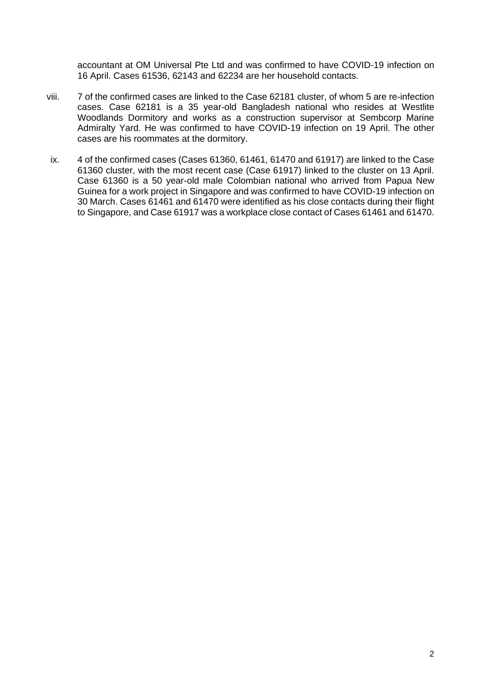accountant at OM Universal Pte Ltd and was confirmed to have COVID-19 infection on 16 April. Cases 61536, 62143 and 62234 are her household contacts.

- viii. 7 of the confirmed cases are linked to the Case 62181 cluster, of whom 5 are re-infection cases. Case 62181 is a 35 year-old Bangladesh national who resides at Westlite Woodlands Dormitory and works as a construction supervisor at Sembcorp Marine Admiralty Yard. He was confirmed to have COVID-19 infection on 19 April. The other cases are his roommates at the dormitory.
- ix. 4 of the confirmed cases (Cases 61360, 61461, 61470 and 61917) are linked to the Case 61360 cluster, with the most recent case (Case 61917) linked to the cluster on 13 April. Case 61360 is a 50 year-old male Colombian national who arrived from Papua New Guinea for a work project in Singapore and was confirmed to have COVID-19 infection on 30 March. Cases 61461 and 61470 were identified as his close contacts during their flight to Singapore, and Case 61917 was a workplace close contact of Cases 61461 and 61470.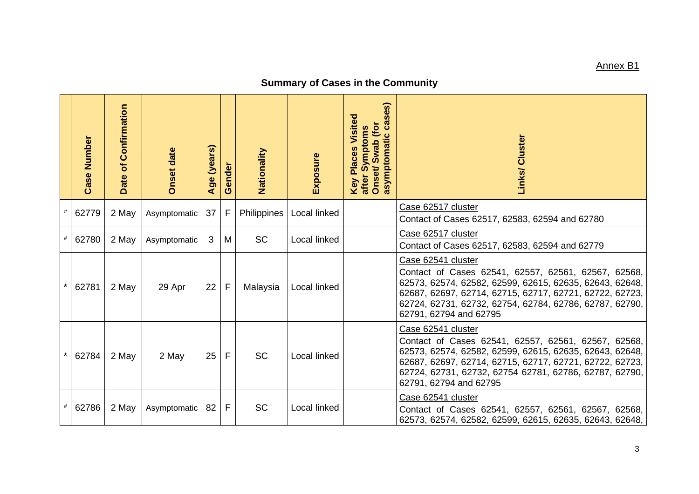## Annex B1

# **Summary of Cases in the Community**

|         | <b>Case Number</b> | Date of Confirmation | <b>Onset date</b> | Age (years) | Gender | Nationality | Exposure     | ses)<br>Visited<br>ී<br>Onset/Swab (for<br>Symptoms<br>asymptomatic<br><b>Key Places</b><br>after : | Links/ Cluster                                                                                                                                                                                                                                                                       |
|---------|--------------------|----------------------|-------------------|-------------|--------|-------------|--------------|-----------------------------------------------------------------------------------------------------|--------------------------------------------------------------------------------------------------------------------------------------------------------------------------------------------------------------------------------------------------------------------------------------|
| $\#$    | 62779              | 2 May                | Asymptomatic      | 37          | F      | Philippines | Local linked |                                                                                                     | Case 62517 cluster<br>Contact of Cases 62517, 62583, 62594 and 62780                                                                                                                                                                                                                 |
|         | 62780              | 2 May                | Asymptomatic      | 3           | М      | <b>SC</b>   | Local linked |                                                                                                     | Case 62517 cluster<br>Contact of Cases 62517, 62583, 62594 and 62779                                                                                                                                                                                                                 |
| $\star$ | 62781              | 2 May                | 29 Apr            | 22          | F      | Malaysia    | Local linked |                                                                                                     | Case 62541 cluster<br>Contact of Cases 62541, 62557, 62561, 62567, 62568,<br>62573, 62574, 62582, 62599, 62615, 62635, 62643, 62648,<br>62687, 62697, 62714, 62715, 62717, 62721, 62722, 62723,<br>62724, 62731, 62732, 62754, 62784, 62786, 62787, 62790,<br>62791, 62794 and 62795 |
| $\star$ | 62784              | 2 May                | 2 May             | 25          | F      | SC          | Local linked |                                                                                                     | Case 62541 cluster<br>Contact of Cases 62541, 62557, 62561, 62567, 62568,<br>62573, 62574, 62582, 62599, 62615, 62635, 62643, 62648,<br>62687, 62697, 62714, 62715, 62717, 62721, 62722, 62723,<br>62724, 62731, 62732, 62754 62781, 62786, 62787, 62790,<br>62791, 62794 and 62795  |
|         | 62786              | 2 May                | Asymptomatic      | 82          | F      | <b>SC</b>   | Local linked |                                                                                                     | Case 62541 cluster<br>Contact of Cases 62541, 62557, 62561, 62567, 62568,<br>62573, 62574, 62582, 62599, 62615, 62635, 62643, 62648,                                                                                                                                                 |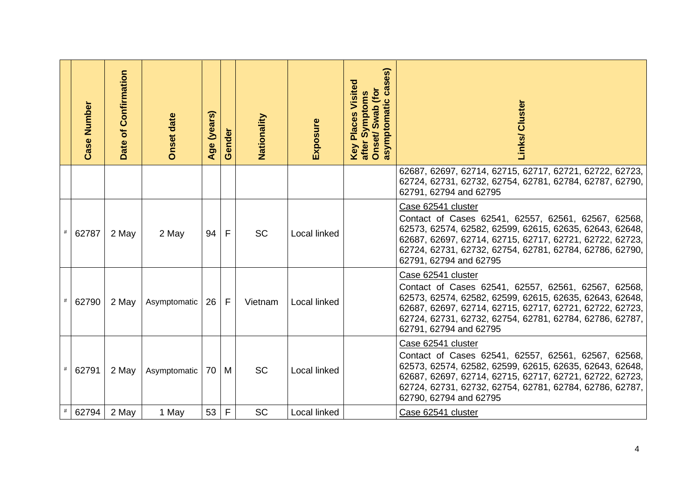|      | <b>Case Number</b> | Date of Confirmation | <b>Onset date</b> | (years)<br>Age | Gender | Nationality | Exposure     | es)<br>Ŭ)<br><b>Places Visited</b><br><b>es</b><br>Onset/Swab (for<br>Symptoms<br>asymptomatic<br>after<br>Key | Links/ Cluster                                                                                                                                                                                                                                                                       |
|------|--------------------|----------------------|-------------------|----------------|--------|-------------|--------------|----------------------------------------------------------------------------------------------------------------|--------------------------------------------------------------------------------------------------------------------------------------------------------------------------------------------------------------------------------------------------------------------------------------|
|      |                    |                      |                   |                |        |             |              |                                                                                                                | 62687, 62697, 62714, 62715, 62717, 62721, 62722, 62723,<br>62724, 62731, 62732, 62754, 62781, 62784, 62787, 62790,<br>62791, 62794 and 62795                                                                                                                                         |
|      | 62787              | 2 May                | 2 May             | 94             | F      | <b>SC</b>   | Local linked |                                                                                                                | Case 62541 cluster<br>Contact of Cases 62541, 62557, 62561, 62567, 62568,<br>62573, 62574, 62582, 62599, 62615, 62635, 62643, 62648,<br>62687, 62697, 62714, 62715, 62717, 62721, 62722, 62723,<br>62724, 62731, 62732, 62754, 62781, 62784, 62786, 62790,<br>62791, 62794 and 62795 |
| $\#$ | 62790              | 2 May                | Asymptomatic      | 26             | F      | Vietnam     | Local linked |                                                                                                                | Case 62541 cluster<br>Contact of Cases 62541, 62557, 62561, 62567, 62568,<br>62573, 62574, 62582, 62599, 62615, 62635, 62643, 62648,<br>62687, 62697, 62714, 62715, 62717, 62721, 62722, 62723,<br>62724, 62731, 62732, 62754, 62781, 62784, 62786, 62787,<br>62791, 62794 and 62795 |
|      | 62791              | 2 May                | Asymptomatic      | 70 M           |        | <b>SC</b>   | Local linked |                                                                                                                | Case 62541 cluster<br>Contact of Cases 62541, 62557, 62561, 62567, 62568,<br>62573, 62574, 62582, 62599, 62615, 62635, 62643, 62648,<br>62687, 62697, 62714, 62715, 62717, 62721, 62722, 62723,<br>62724, 62731, 62732, 62754, 62781, 62784, 62786, 62787,<br>62790, 62794 and 62795 |
| #    | 62794              | 2 May                | 1 May             | 53             | F      | <b>SC</b>   | Local linked |                                                                                                                | Case 62541 cluster                                                                                                                                                                                                                                                                   |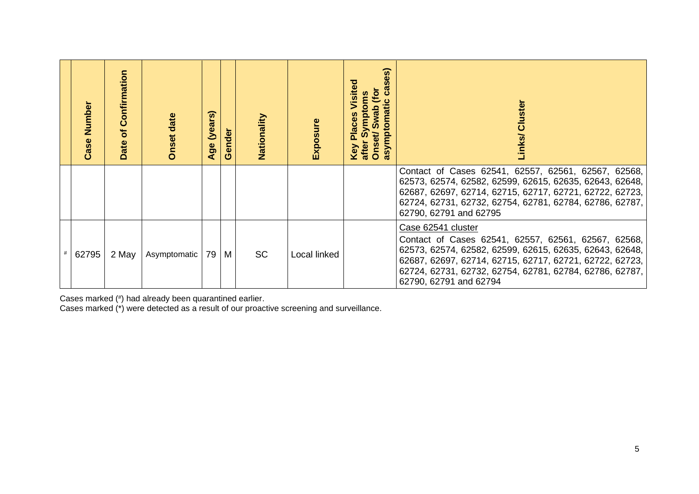| Number<br>Case | of Confirmation<br>Date | <b>Onset date</b> | $\widehat{\bm{w}}$<br>(year:<br>Age | ender<br>$\boldsymbol{\sigma}$ | Nationality | Exposure     | $\mathbf{e}$<br>mati<br>wab<br><b>Place</b><br>sympto<br>Onset<br>atter<br>Key | Cluster<br>Links/                                                                                                                                                                                                                                                                    |
|----------------|-------------------------|-------------------|-------------------------------------|--------------------------------|-------------|--------------|--------------------------------------------------------------------------------|--------------------------------------------------------------------------------------------------------------------------------------------------------------------------------------------------------------------------------------------------------------------------------------|
|                |                         |                   |                                     |                                |             |              |                                                                                | Contact of Cases 62541, 62557, 62561, 62567, 62568,<br>62573, 62574, 62582, 62599, 62615, 62635, 62643, 62648,<br>62687, 62697, 62714, 62715, 62717, 62721, 62722, 62723,<br>62724, 62731, 62732, 62754, 62781, 62784, 62786, 62787,<br>62790, 62791 and 62795                       |
| 62795          | 2 May                   | Asymptomatic      | 79 M                                |                                | <b>SC</b>   | Local linked |                                                                                | Case 62541 cluster<br>Contact of Cases 62541, 62557, 62561, 62567, 62568,<br>62573, 62574, 62582, 62599, 62615, 62635, 62643, 62648,<br>62687, 62697, 62714, 62715, 62717, 62721, 62722, 62723,<br>62724, 62731, 62732, 62754, 62781, 62784, 62786, 62787,<br>62790, 62791 and 62794 |

Cases marked (# ) had already been quarantined earlier.

Cases marked (\*) were detected as a result of our proactive screening and surveillance.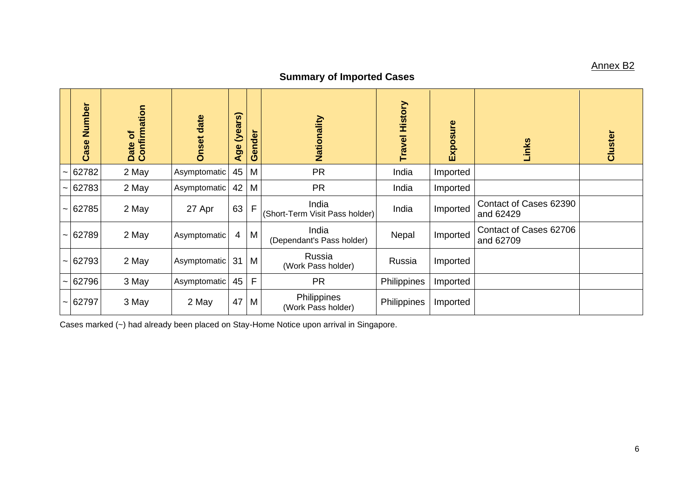## Annex B2

## **Summary of Imported Cases**

|                       | Number<br>Case | Date of<br>Confirmation | Onset date   | (years)<br>Age | Gender | Nationality                             | <b>Travel History</b> | Exposure | Links                               | Cluster |
|-----------------------|----------------|-------------------------|--------------|----------------|--------|-----------------------------------------|-----------------------|----------|-------------------------------------|---------|
|                       | 62782          | 2 May                   | Asymptomatic | 45             | M      | <b>PR</b>                               | India                 | Imported |                                     |         |
| $\tilde{}$            | 62783          | 2 May                   | Asymptomatic | 42             | M      | <b>PR</b>                               | India                 | Imported |                                     |         |
|                       | 62785          | 2 May                   | 27 Apr       | 63             | F      | India<br>(Short-Term Visit Pass holder) | India                 | Imported | Contact of Cases 62390<br>and 62429 |         |
| $\tilde{\phantom{a}}$ | 62789          | 2 May                   | Asymptomatic | 4              | M      | India<br>(Dependant's Pass holder)      | Nepal                 | Imported | Contact of Cases 62706<br>and 62709 |         |
| $\tilde{\phantom{a}}$ | 62793          | 2 May                   | Asymptomatic | $31$ M         |        | Russia<br>(Work Pass holder)            | Russia                | Imported |                                     |         |
|                       | 62796          | 3 May                   | Asymptomatic | 45             | F      | <b>PR</b>                               | Philippines           | Imported |                                     |         |
| $\tilde{\phantom{a}}$ | 62797          | 3 May                   | 2 May        | $47$ M         |        | Philippines<br>(Work Pass holder)       | Philippines           | Imported |                                     |         |

Cases marked (~) had already been placed on Stay-Home Notice upon arrival in Singapore.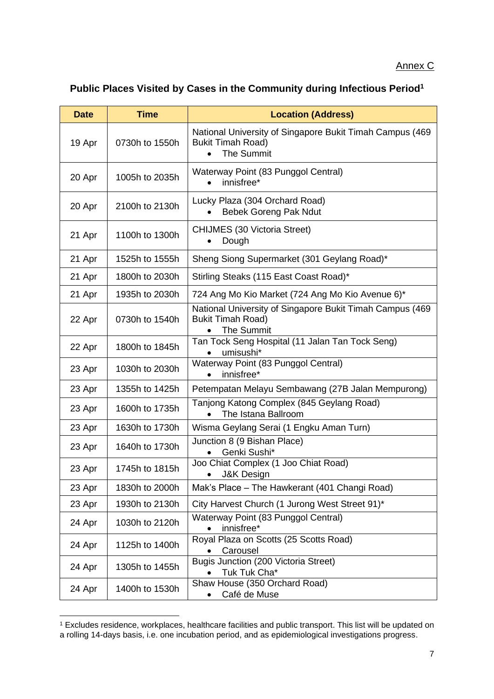#### Annex C

## **Public Places Visited by Cases in the Community during Infectious Period<sup>1</sup>**

| <b>Date</b> | <b>Time</b>    | <b>Location (Address)</b>                                                                                 |
|-------------|----------------|-----------------------------------------------------------------------------------------------------------|
| 19 Apr      | 0730h to 1550h | National University of Singapore Bukit Timah Campus (469<br><b>Bukit Timah Road)</b><br><b>The Summit</b> |
| 20 Apr      | 1005h to 2035h | Waterway Point (83 Punggol Central)<br>innisfree*                                                         |
| 20 Apr      | 2100h to 2130h | Lucky Plaza (304 Orchard Road)<br><b>Bebek Goreng Pak Ndut</b>                                            |
| 21 Apr      | 1100h to 1300h | <b>CHIJMES (30 Victoria Street)</b><br>Dough                                                              |
| 21 Apr      | 1525h to 1555h | Sheng Siong Supermarket (301 Geylang Road)*                                                               |
| 21 Apr      | 1800h to 2030h | Stirling Steaks (115 East Coast Road)*                                                                    |
| 21 Apr      | 1935h to 2030h | 724 Ang Mo Kio Market (724 Ang Mo Kio Avenue 6)*                                                          |
| 22 Apr      | 0730h to 1540h | National University of Singapore Bukit Timah Campus (469<br><b>Bukit Timah Road)</b><br><b>The Summit</b> |
| 22 Apr      | 1800h to 1845h | Tan Tock Seng Hospital (11 Jalan Tan Tock Seng)<br>umisushi*                                              |
| 23 Apr      | 1030h to 2030h | Waterway Point (83 Punggol Central)<br>innisfree*                                                         |
| 23 Apr      | 1355h to 1425h | Petempatan Melayu Sembawang (27B Jalan Mempurong)                                                         |
| 23 Apr      | 1600h to 1735h | Tanjong Katong Complex (845 Geylang Road)<br>The Istana Ballroom                                          |
| 23 Apr      | 1630h to 1730h | Wisma Geylang Serai (1 Engku Aman Turn)                                                                   |
| 23 Apr      | 1640h to 1730h | Junction 8 (9 Bishan Place)<br>Genki Sushi*                                                               |
| 23 Apr      | 1745h to 1815h | Joo Chiat Complex (1 Joo Chiat Road)<br><b>J&amp;K Design</b>                                             |
| 23 Apr      | 1830h to 2000h | Mak's Place - The Hawkerant (401 Changi Road)                                                             |
| 23 Apr      | 1930h to 2130h | City Harvest Church (1 Jurong West Street 91)*                                                            |
| 24 Apr      | 1030h to 2120h | Waterway Point (83 Punggol Central)<br>innisfree*                                                         |
| 24 Apr      | 1125h to 1400h | Royal Plaza on Scotts (25 Scotts Road)<br>Carousel                                                        |
| 24 Apr      | 1305h to 1455h | <b>Bugis Junction (200 Victoria Street)</b><br>Tuk Tuk Cha*                                               |
| 24 Apr      | 1400h to 1530h | Shaw House (350 Orchard Road)<br>Café de Muse                                                             |

<sup>1</sup> Excludes residence, workplaces, healthcare facilities and public transport. This list will be updated on a rolling 14-days basis, i.e. one incubation period, and as epidemiological investigations progress.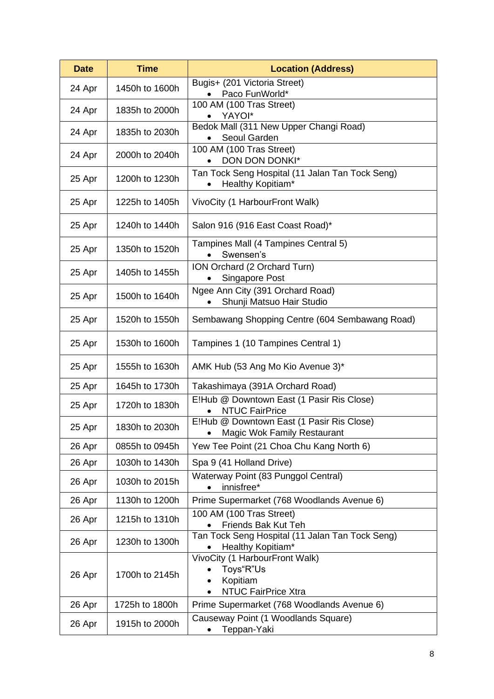| <b>Date</b> | <b>Time</b>    | <b>Location (Address)</b>                                                             |  |  |  |  |
|-------------|----------------|---------------------------------------------------------------------------------------|--|--|--|--|
| 24 Apr      | 1450h to 1600h | Bugis+ (201 Victoria Street)<br>Paco FunWorld*                                        |  |  |  |  |
| 24 Apr      | 1835h to 2000h | 100 AM (100 Tras Street)                                                              |  |  |  |  |
|             |                | YAYOI*<br>Bedok Mall (311 New Upper Changi Road)                                      |  |  |  |  |
| 24 Apr      | 1835h to 2030h | Seoul Garden                                                                          |  |  |  |  |
| 24 Apr      | 2000h to 2040h | 100 AM (100 Tras Street)<br>DON DON DONKI*                                            |  |  |  |  |
| 25 Apr      | 1200h to 1230h | Tan Tock Seng Hospital (11 Jalan Tan Tock Seng)<br>Healthy Kopitiam*                  |  |  |  |  |
| 25 Apr      | 1225h to 1405h | VivoCity (1 HarbourFront Walk)                                                        |  |  |  |  |
| 25 Apr      | 1240h to 1440h | Salon 916 (916 East Coast Road)*                                                      |  |  |  |  |
| 25 Apr      | 1350h to 1520h | Tampines Mall (4 Tampines Central 5)<br>Swensen's                                     |  |  |  |  |
| 25 Apr      | 1405h to 1455h | ION Orchard (2 Orchard Turn)<br>Singapore Post                                        |  |  |  |  |
| 25 Apr      | 1500h to 1640h | Ngee Ann City (391 Orchard Road)<br>Shunji Matsuo Hair Studio                         |  |  |  |  |
| 25 Apr      | 1520h to 1550h | Sembawang Shopping Centre (604 Sembawang Road)                                        |  |  |  |  |
| 25 Apr      | 1530h to 1600h | Tampines 1 (10 Tampines Central 1)                                                    |  |  |  |  |
| 25 Apr      | 1555h to 1630h | AMK Hub (53 Ang Mo Kio Avenue 3)*                                                     |  |  |  |  |
| 25 Apr      | 1645h to 1730h | Takashimaya (391A Orchard Road)                                                       |  |  |  |  |
| 25 Apr      | 1720h to 1830h | E!Hub @ Downtown East (1 Pasir Ris Close)<br><b>NTUC FairPrice</b>                    |  |  |  |  |
| 25 Apr      | 1830h to 2030h | E!Hub @ Downtown East (1 Pasir Ris Close)<br>Magic Wok Family Restaurant              |  |  |  |  |
| 26 Apr      | 0855h to 0945h | Yew Tee Point (21 Choa Chu Kang North 6)                                              |  |  |  |  |
| 26 Apr      | 1030h to 1430h | Spa 9 (41 Holland Drive)                                                              |  |  |  |  |
| 26 Apr      | 1030h to 2015h | Waterway Point (83 Punggol Central)<br>innisfree*                                     |  |  |  |  |
| 26 Apr      | 1130h to 1200h | Prime Supermarket (768 Woodlands Avenue 6)                                            |  |  |  |  |
| 26 Apr      | 1215h to 1310h | 100 AM (100 Tras Street)<br>Friends Bak Kut Teh                                       |  |  |  |  |
| 26 Apr      | 1230h to 1300h | Tan Tock Seng Hospital (11 Jalan Tan Tock Seng)<br>Healthy Kopitiam*                  |  |  |  |  |
| 26 Apr      | 1700h to 2145h | VivoCity (1 HarbourFront Walk)<br>Toys"R"Us<br>Kopitiam<br><b>NTUC FairPrice Xtra</b> |  |  |  |  |
| 26 Apr      | 1725h to 1800h | Prime Supermarket (768 Woodlands Avenue 6)                                            |  |  |  |  |
| 26 Apr      | 1915h to 2000h | Causeway Point (1 Woodlands Square)<br>Teppan-Yaki                                    |  |  |  |  |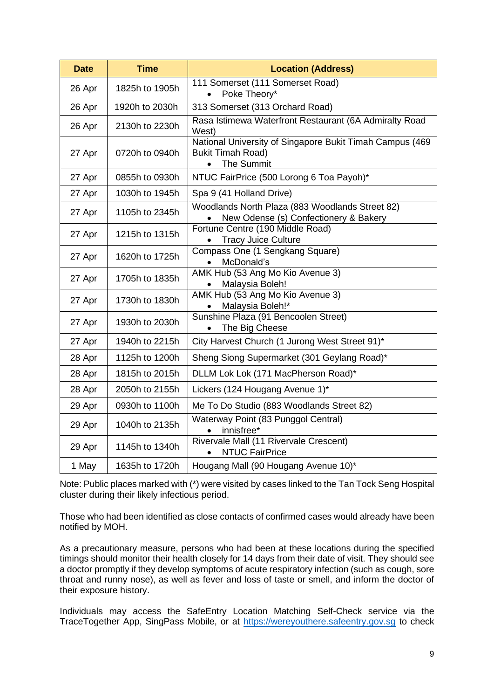| <b>Date</b> | <b>Time</b>    | <b>Location (Address)</b>                                                                          |  |  |  |
|-------------|----------------|----------------------------------------------------------------------------------------------------|--|--|--|
| 26 Apr      | 1825h to 1905h | 111 Somerset (111 Somerset Road)<br>Poke Theory*                                                   |  |  |  |
| 26 Apr      | 1920h to 2030h | 313 Somerset (313 Orchard Road)                                                                    |  |  |  |
| 26 Apr      | 2130h to 2230h | Rasa Istimewa Waterfront Restaurant (6A Admiralty Road<br>West)                                    |  |  |  |
| 27 Apr      | 0720h to 0940h | National University of Singapore Bukit Timah Campus (469<br><b>Bukit Timah Road)</b><br>The Summit |  |  |  |
| 27 Apr      | 0855h to 0930h | NTUC FairPrice (500 Lorong 6 Toa Payoh)*                                                           |  |  |  |
| 27 Apr      | 1030h to 1945h | Spa 9 (41 Holland Drive)                                                                           |  |  |  |
| 27 Apr      | 1105h to 2345h | Woodlands North Plaza (883 Woodlands Street 82)<br>New Odense (s) Confectionery & Bakery           |  |  |  |
| 27 Apr      | 1215h to 1315h | Fortune Centre (190 Middle Road)<br><b>Tracy Juice Culture</b>                                     |  |  |  |
| 27 Apr      | 1620h to 1725h | Compass One (1 Sengkang Square)<br>McDonald's                                                      |  |  |  |
| 27 Apr      | 1705h to 1835h | AMK Hub (53 Ang Mo Kio Avenue 3)<br>Malaysia Boleh!                                                |  |  |  |
| 27 Apr      | 1730h to 1830h | AMK Hub (53 Ang Mo Kio Avenue 3)<br>Malaysia Boleh!*                                               |  |  |  |
| 27 Apr      | 1930h to 2030h | Sunshine Plaza (91 Bencoolen Street)<br>The Big Cheese                                             |  |  |  |
| 27 Apr      | 1940h to 2215h | City Harvest Church (1 Jurong West Street 91)*                                                     |  |  |  |
| 28 Apr      | 1125h to 1200h | Sheng Siong Supermarket (301 Geylang Road)*                                                        |  |  |  |
| 28 Apr      | 1815h to 2015h | DLLM Lok Lok (171 MacPherson Road)*                                                                |  |  |  |
| 28 Apr      | 2050h to 2155h | Lickers (124 Hougang Avenue 1)*                                                                    |  |  |  |
| 29 Apr      | 0930h to 1100h | Me To Do Studio (883 Woodlands Street 82)                                                          |  |  |  |
| 29 Apr      | 1040h to 2135h | Waterway Point (83 Punggol Central)<br>innisfree*                                                  |  |  |  |
| 29 Apr      | 1145h to 1340h | Rivervale Mall (11 Rivervale Crescent)<br><b>NTUC FairPrice</b>                                    |  |  |  |
| 1 May       | 1635h to 1720h | Hougang Mall (90 Hougang Avenue 10)*                                                               |  |  |  |

Note: Public places marked with (\*) were visited by cases linked to the Tan Tock Seng Hospital cluster during their likely infectious period.

Those who had been identified as close contacts of confirmed cases would already have been notified by MOH.

As a precautionary measure, persons who had been at these locations during the specified timings should monitor their health closely for 14 days from their date of visit. They should see a doctor promptly if they develop symptoms of acute respiratory infection (such as cough, sore throat and runny nose), as well as fever and loss of taste or smell, and inform the doctor of their exposure history.

Individuals may access the SafeEntry Location Matching Self-Check service via the TraceTogether App, SingPass Mobile, or at [https://wereyouthere.safeentry.gov.sg](https://wereyouthere.safeentry.gov.sg/) to check